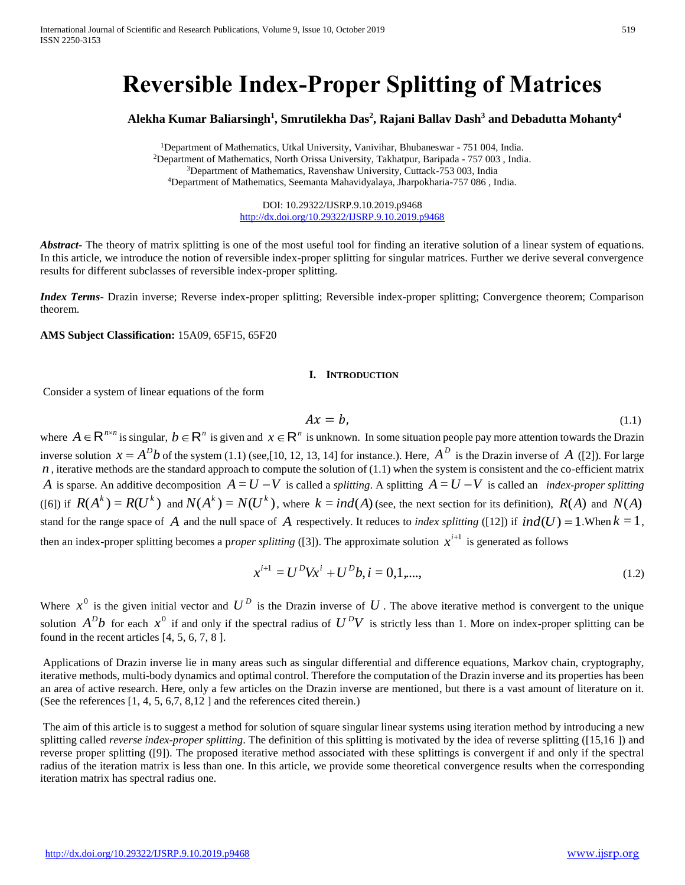# **Reversible Index-Proper Splitting of Matrices**

## **Alekha Kumar Baliarsingh<sup>1</sup> , Smrutilekha Das<sup>2</sup> , Rajani Ballav Dash<sup>3</sup> and Debadutta Mohanty<sup>4</sup>**

Department of Mathematics, Utkal University, Vanivihar, Bhubaneswar - 751 004, India. Department of Mathematics, North Orissa University, Takhatpur, Baripada - 757 003 , India. <sup>3</sup>Department of Mathematics, Ravenshaw University, Cuttack-753 003, India Department of Mathematics, Seemanta Mahavidyalaya, Jharpokharia-757 086 , India.

> DOI: 10.29322/IJSRP.9.10.2019.p9468 <http://dx.doi.org/10.29322/IJSRP.9.10.2019.p9468>

**Abstract** The theory of matrix splitting is one of the most useful tool for finding an iterative solution of a linear system of equations. In this article, we introduce the notion of reversible index-proper splitting for singular matrices. Further we derive several convergence results for different subclasses of reversible index-proper splitting.

*Index Terms*- Drazin inverse; Reverse index-proper splitting; Reversible index-proper splitting; Convergence theorem; Comparison theorem.

**AMS Subject Classification:** 15A09, 65F15, 65F20

### **I. INTRODUCTION**

Consider a system of linear equations of the form

$$
Ax = b,\tag{1.1}
$$

where  $A \in \mathbb{R}^{n \times n}$  is singular,  $b \in \mathbb{R}^n$  is given and  $x \in \mathbb{R}^n$  is unknown. In some situation people pay more attention towards the Drazin inverse solution  $x = A^Db$  of the system (1.1) (see,[10, 12, 13, 14] for instance.). Here,  $A^D$  is the Drazin inverse of A ([2]). For large  $n$ , iterative methods are the standard approach to compute the solution of  $(1.1)$  when the system is consistent and the co-efficient matrix *A* is sparse. An additive decomposition  $A = U - V$  is called a *splitting*. A splitting  $A = U - V$  is called an *index-proper splitting* ([6]) if  $R(A^k) = R(U^k)$  and  $N(A^k) = N(U^k)$ , where  $k = ind(A)$  (see, the next section for its definition),  $R(A)$  and  $N(A)$ stand for the range space of A and the null space of A respectively. It reduces to *index splitting* ([12]) if  $ind(U) = 1$ . When  $k = 1$ , then an index-proper splitting becomes a proper splitting ([3]). The approximate solution  $x^{i+1}$  is generated as follows

$$
x^{i+1} = U^D V x^i + U^D b, i = 0, 1, \dots,
$$
\n(1.2)

Where  $x^0$  is the given initial vector and  $U^D$  is the Drazin inverse of  $U$ . The above iterative method is convergent to the unique solution  $A^Db$  for each  $x^0$  if and only if the spectral radius of  $U^DV$  is strictly less than 1. More on index-proper splitting can be found in the recent articles [4, 5, 6, 7, 8 ].

Applications of Drazin inverse lie in many areas such as singular differential and difference equations, Markov chain, cryptography, iterative methods, multi-body dynamics and optimal control. Therefore the computation of the Drazin inverse and its properties has been an area of active research. Here, only a few articles on the Drazin inverse are mentioned, but there is a vast amount of literature on it. (See the references [1, 4, 5, 6,7, 8,12 ] and the references cited therein.)

The aim of this article is to suggest a method for solution of square singular linear systems using iteration method by introducing a new splitting called *reverse index-proper splitting*. The definition of this splitting is motivated by the idea of reverse splitting ([15,16 ]) and reverse proper splitting ([9]). The proposed iterative method associated with these splittings is convergent if and only if the spectral radius of the iteration matrix is less than one. In this article, we provide some theoretical convergence results when the corresponding iteration matrix has spectral radius one.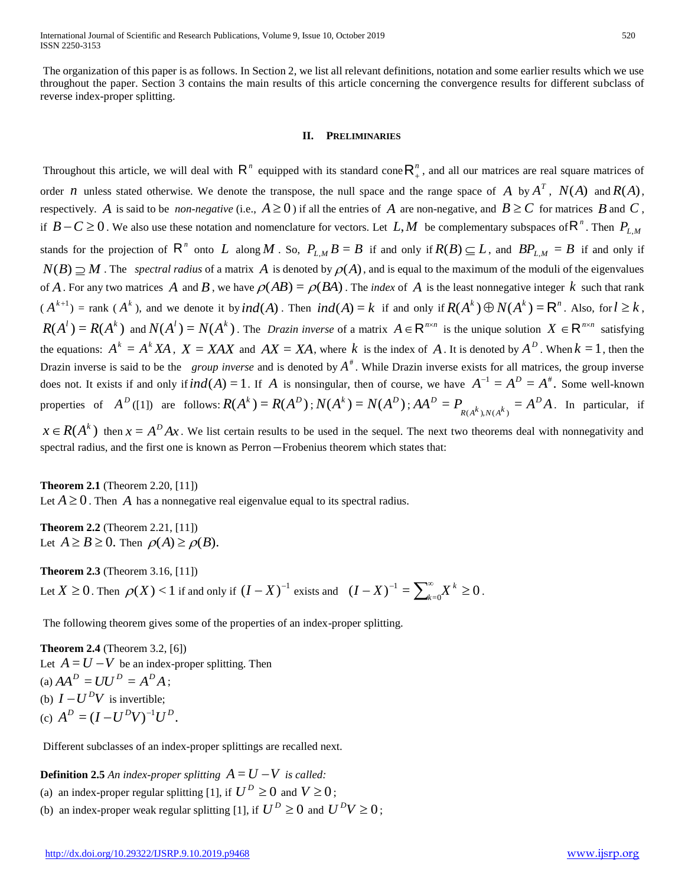The organization of this paper is as follows. In Section 2, we list all relevant definitions, notation and some earlier results which we use throughout the paper. Section 3 contains the main results of this article concerning the convergence results for different subclass of reverse index-proper splitting.

#### **II. PRELIMINARIES**

Throughout this article, we will deal with  $R^n$  equipped with its standard cone  $R_+^n$ , and all our matrices are real square matrices of order *n* unless stated otherwise. We denote the transpose, the null space and the range space of *A* by  $A<sup>T</sup>$ ,  $N(A)$  and  $R(A)$ , respectively. A is said to be *non-negative* (i.e.,  $A \ge 0$ ) if all the entries of A are non-negative, and  $B \ge C$  for matrices B and C, if  $B-C \ge 0$ . We also use these notation and nomenclature for vectors. Let  $L, M$  be complementary subspaces of  $\mathsf{R}^n$ . Then  $P_{L,M}$ stands for the projection of  $R^n$  onto L along M . So,  $P_{L,M}B=B$  if and only if  $R(B)\subseteq L$ , and  $BP_{L,M}=B$  if and only if  $N(B) \supseteq M$ . The *spectral radius* of a matrix A is denoted by  $\rho(A)$ , and is equal to the maximum of the moduli of the eigenvalues of A. For any two matrices A and B, we have  $\rho(AB) = \rho(BA)$ . The *index* of A is the least nonnegative integer k such that rank  $(A^{k+1})$  = rank  $(A^k)$ , and we denote it by  $ind(A)$ . Then  $ind(A) = k$  if and only if  $R(A^k) \oplus N(A^k) = \mathbb{R}^n$ . Also, for  $l \geq k$ ,  $R(A^l) = R(A^k)$  and  $N(A^l) = N(A^k)$ . The *Drazin inverse* of a matrix  $A \in \mathbb{R}^{n \times n}$  is the unique solution  $X \in \mathbb{R}^{n \times n}$  satisfying the equations:  $A^k = A^k X A$ ,  $X = XAX$  and  $AX = XA$ , where k is the index of A. It is denoted by  $A^D$ . When  $k = 1$ , then the Drazin inverse is said to be the *group inverse* and is denoted by  $A^*$ . While Drazin inverse exists for all matrices, the group inverse does not. It exists if and only if  $ind(A) = 1$ . If A is nonsingular, then of course, we have  $A^{-1} = A^D = A^*$ . Some well-known properties of  $A^D([1])$  are follows:  $R(A^k) = R(A^D)$ ;  $N(A^k) = N(A^D)$ ;  $AA^D = P_{R(A^k) \cup R(A^k)} = A^D A$  $R(A^k)$ ,  $N(A^k)$  $D = P_{R(A^k), N(A^k)} = A^D A$ . In particular, if

 $x \in R(A^k)$  then  $x = A^D A x$ . We list certain results to be used in the sequel. The next two theorems deal with nonnegativity and spectral radius, and the first one is known as Perron Frobenius theorem which states that:

#### **Theorem 2.1** (Theorem 2.20, [11])

Let  $A \geq 0$ . Then A has a nonnegative real eigenvalue equal to its spectral radius.

**Theorem 2.2** (Theorem 2.21, [11]) Let  $A \ge B \ge 0$ . Then  $\rho(A) \ge \rho(B)$ .

**Theorem 2.3** (Theorem 3.16, [11]) Let  $X \ge 0$ . Then  $\rho(X) < 1$  if and only if  $(I - X)^{-1}$  exists and  $(I - X)^{-1} = \sum_{k=0}^{\infty} X^k \ge 0$  $(X - X)^{-1} = \sum_{k=0}^{\infty} X^k \ge$  $(I - X)^{-1} = \sum_{k=0}^{\infty} X^k \ge 0$ .

The following theorem gives some of the properties of an index-proper splitting.

**Theorem 2.4** (Theorem 3.2, [6]) Let  $A = U - V$  be an index-proper splitting. Then (a)  $AA^{D} = UU^{D} = A^{D}A$ ; (b)  $I - U^D V$  is invertible; (c)  $A^D = (I - U^D V)^{-1} U^D$ .

Different subclasses of an index-proper splittings are recalled next.

**Definition 2.5** An index-proper splitting  $A = U - V$  is called:

(a) an index-proper regular splitting [1], if  $U^D \ge 0$  and  $V \ge 0$ ;

(b) an index-proper weak regular splitting [1], if  $U^D \ge 0$  and  $U^D V \ge 0$ ;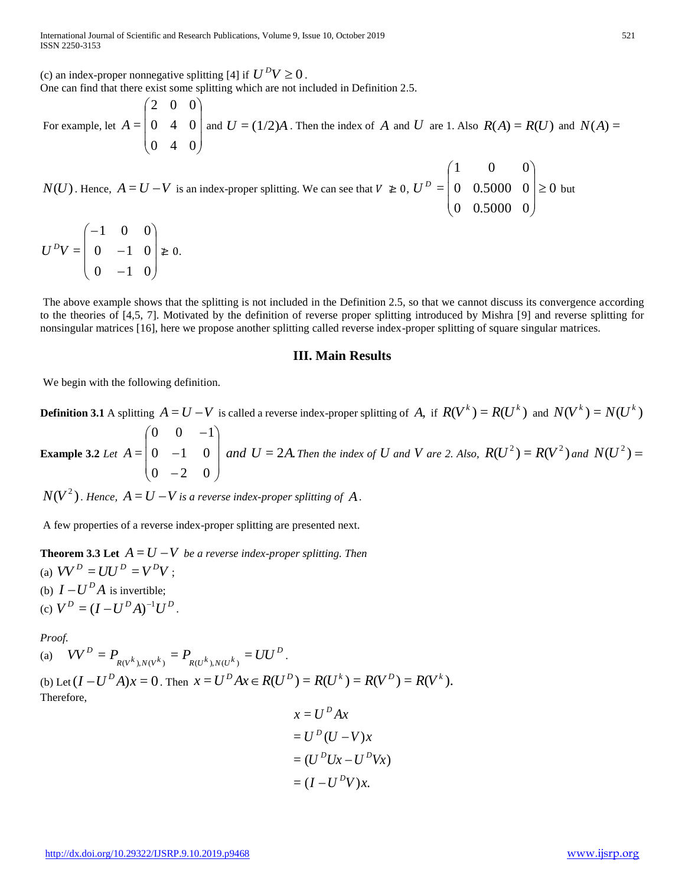(c) an index-proper nonnegative splitting [4] if  $U^D V \ge 0$ . One can find that there exist some splitting which are not included in Definition 2.5.

For example, let  $\overline{\phantom{a}}$  $\overline{\phantom{a}}$  $\overline{\phantom{a}}$  $\bigg)$  $\setminus$  $\mathsf{I}$  $\mathbf{r}$  $\mathbf{I}$  $\setminus$ ſ 0 4 0 0 4 0 2 0 0  $A = \begin{bmatrix} 0 & 4 & 0 \end{bmatrix}$  and  $U = (1/2)A$ . Then the index of  $A$  and  $U$  are 1. Also  $R(A) = R(U)$  and  $N(A) =$ 

*N*(*U*). Hence,  $A = U - V$  is an index-proper splitting. We can see that  $V \ge 0$ ,  $U^D = |0 0.5000 0 | \ge 0$ 0 0.5000 0 0 0.5000 0 1 0 0  $= | 0 0.5000 0 | \ge$  $\overline{\phantom{a}}$  $\overline{\phantom{a}}$  $\overline{\phantom{a}}$ J  $\setminus$  $\mathsf{I}$  $\mathsf{I}$  $\mathsf{I}$  $\setminus$ ſ  $U^D = |0 \t0.5000 \t0| \ge 0$  but

 $0 \t -1 \t 0$  $0 \t -1 \t 0$ 1 0 0 =  $\overline{\phantom{a}}$  $\overline{\phantom{a}}$  $\overline{\phantom{a}}$ J  $\backslash$  $\mathsf{I}$  $\mathsf{L}$  $\mathsf{I}$  $\setminus$ ſ  $\overline{a}$  $\overline{\phantom{0}}$  $\overline{\phantom{0}}$  $U^{D}V = | 0 -1 0 | \ge 0.$ 

The above example shows that the splitting is not included in the Definition 2.5, so that we cannot discuss its convergence according to the theories of [4,5, 7]. Motivated by the definition of reverse proper splitting introduced by Mishra [9] and reverse splitting for nonsingular matrices [16], here we propose another splitting called reverse index-proper splitting of square singular matrices.

#### **III. Main Results**

We begin with the following definition.

**Definition 3.1** A splitting  $A = U - V$  is called a reverse index-proper splitting of A, if  $R(V^k) = R(U^k)$  and  $N(V^k) = N(U^k)$ **Example 3.2** *Let*   $\overline{\phantom{a}}$  $\overline{\phantom{a}}$  $\overline{\phantom{a}}$ J  $\setminus$  $\mathsf{I}$  $\mathsf{I}$  $\mathsf{I}$  $\setminus$ ſ  $\overline{\phantom{0}}$  $\overline{a}$  $\overline{a}$  $0 -2 0$  $0 \t -1 \t 0$  $0 \t 0 \t -1$  $A = |0 -1 0 |$  and  $U = 2A$ . Then the index of  $U$  and  $V$  are 2. Also,  $R(U^2) = R(V^2)$  and  $N(U^2) =$ 

 $N(V^2)$  . Hence,  $A = U - V$  is a reverse index-proper splitting of  $A$  .

A few properties of a reverse index-proper splitting are presented next.

**Theorem 3.3 Let**  $A = U - V$  be a reverse index-proper splitting. Then (a)  $VV^{D} = UU^{D} = V^{D}V$ ; (b)  $I - U^D A$  is invertible; (c)  $V^D = (I - U^D A)^{-1} U^D$ .

*Proof.*

(a)  $VV^D = P_{\text{rank}, \text{rank}} = P_{\text{rank}, \text{rank}} = UU^D$  $V V^D = P_{R(V^k), N(V^k)} = P_{R(U^k), N(U^k)} = U U^D$ . (b) Let  $(I - U^D A)x = 0$ . Then  $x = U^D Ax \in R(U^D) = R(U^k) = R(V^D) = R(V^k)$ . Therefore, =  $x = U^D A x$ 

$$
x = U^D A x
$$
  
=  $U^D (U - V) x$   
=  $(U^D U x - U^D V x)$   
=  $(I - U^D V) x$ .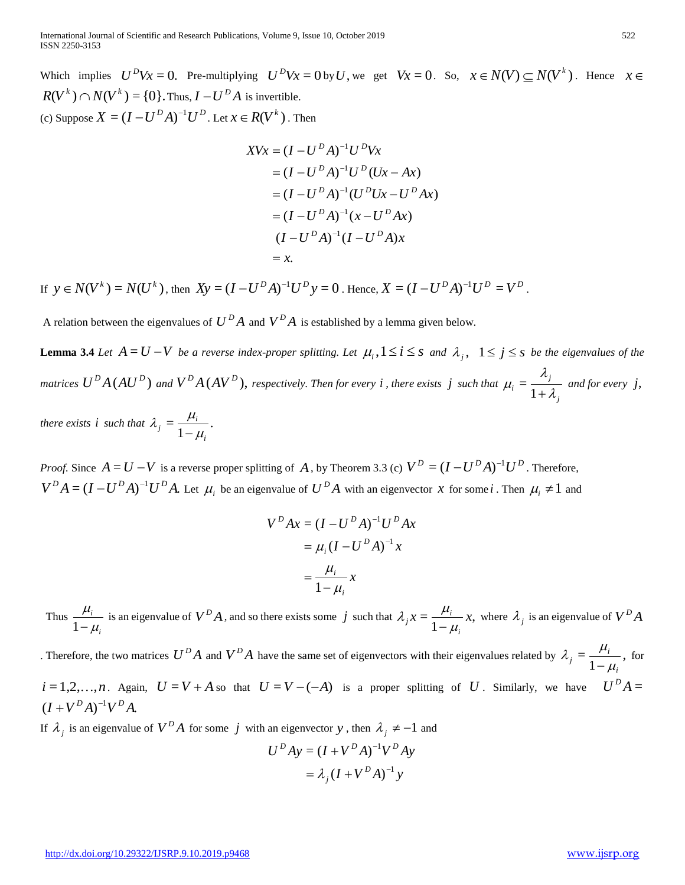Which implies  $U^D Vx = 0$ . Pre-multiplying  $U^D Vx = 0$  by U, we get  $Vx = 0$ . So,  $x \in N(V) \subseteq N(V^k)$ . Hence  $x \in$  $R(V^k) \cap N(V^k) = \{0\}$ . *Thus,*  $I - U^D A$  *is invertible.* (c) Suppose  $X = (I - U^D A)^{-1} U^D$  . Let  $x \in R(V^k)$  . Then

$$
XVx = (I - U^D A)^{-1}U^D Vx
$$
  
=  $(I - U^D A)^{-1}U^D(Ux - Ax)$   
=  $(I - U^D A)^{-1}(U^D Ux - U^D Ax)$   
=  $(I - U^D A)^{-1}(x - U^D Ax)$   
 $(I - U^D A)^{-1}(I - U^D A)x$   
= x.

If  $y \in N(V^k) = N(U^k)$ , then  $Xy = (I - U^D A)^{-1} U^D y = 0$ . Hence,  $X = (I - U^D A)^{-1} U^D = V^D$ .

A relation between the eigenvalues of  $U^D A$  and  $V^D A$  is established by a lemma given below.

**Lemma 3.4** *Let*  $A = U - V$  *be a reverse index-proper splitting. Let*  $\mu_i, 1 \le i \le s$  *and*  $\lambda_j, 1 \le j \le s$  *be the eigenvalues of the* matrices  $U^{\bar{D}}A(AU^{\bar{D}})$  and  $V^{\bar{D}}A(AV^{\bar{D}}),$  respectively. Then for every  $i$  , there exists  $\,j\,$  such that *j j*  $i = \overline{1 + \lambda}$ λ  $\mu_i = \frac{1}{1 + i}$  $=\frac{a_{j}}{a_{j}}$  and for every j,

*there exists i such that*  $\lambda_i = \frac{\mu_i}{\mu_i}$ . 1  $j = \frac{\mu_i}{1 - \mu_i}$ *i*  $\lambda_j = \frac{\mu_i}{1-\mu}$ 

*Proof.* Since  $A = U - V$  is a reverse proper splitting of A, by Theorem 3.3 (c)  $V^D = (I - U^D A)^{-1} U^D$ . Therefore,  $V^D A = (I - U^D A)^{-1} U^D A$ . Let  $\mu_i$  be an eigenvalue of  $U^D A$  with an eigenvector x for some i. Then  $\mu_i \neq 1$  and

$$
VDAx = (I - UDA)-1UDAx
$$

$$
= \mu_i (I - UDA)-1x
$$

$$
= \frac{\mu_i}{1 - \mu_i} x
$$

Thus *i i*  $\mu$  $\mu_{\scriptscriptstyle \!}$  $\frac{\mu_i}{1-\mu_i}$  is an eigenvalue of  $V^D A$ , and so there exists some j such that  $\lambda_j x = \frac{\mu_i}{1-\mu_i} x$ , 1  $x = \frac{\mu_i}{\mu_i}$ *i*  $i_j x = \frac{\mu_i}{1 - \mu_j}$  $\lambda_j x = \frac{\mu_i}{1 - \mu_i} x$ , where  $\lambda_j$  is an eigenvalue of  $V^D A$ 

Therefore, the two matrices  $U^D A$  and  $V^D A$  have the same set of eigenvectors with their eigenvalues related by  $\lambda_i = \frac{\mu_i}{\mu_i}$ , 1  $j = \frac{\mu_i}{1 - \mu_i}$ *i*  $\lambda_j = \frac{\mu_i}{1 - \mu_i}$ , for  $i = 1, 2, \ldots, n$ . Again,  $U = V + A$  so that  $U = V - (-A)$  is a proper splitting of U. Similarly, we have  $U^D A =$  $(I + V^D A)^{-1} V^D A$ 

If  $\lambda_j$  is an eigenvalue of  $V^D A$  for some *j* with an eigenvector y, then  $\lambda_j \neq -1$  and

$$
UDAy = (I + VDA)-1VDAy
$$

$$
= \lambda_j (I + VDA)-1y
$$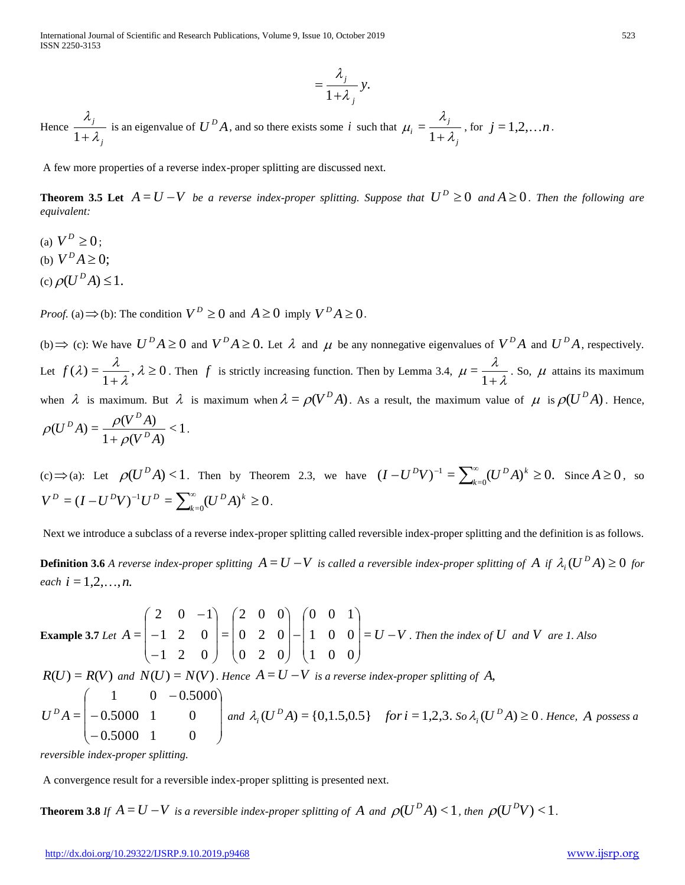$$
=\frac{\lambda_j}{1+\lambda_j}y.
$$

Hence *j j*  $\lambda$ λ  $\frac{\lambda_j}{1 + \lambda_j}$  is an eigenvalue of  $U^D A$ , and so there exists some *i* such that *j j*  $i=\overline{1+\lambda}$ λ  $\mu_i = \frac{1}{1 + i}$  $=\frac{n_j}{n_j}$ , for  $j=1,2,...,n$ .

A few more properties of a reverse index-proper splitting are discussed next.

**Theorem 3.5 Let**  $A = U - V$  be a reverse index-proper splitting. Suppose that  $U^D \ge 0$  and  $A \ge 0$ . Then the following are *equivalent:*

- (a)  $V^D \geq 0$ ;
- (b)  $V^D A \geq 0$ ;
- (c)  $\rho(U^D A) \leq 1$ .

*Proof.* (a)  $\Rightarrow$  (b): The condition  $V^D \ge 0$  and  $A \ge 0$  imply  $V^D A \ge 0$ .

(b)  $\Rightarrow$  (c): We have  $U^D A \ge 0$  and  $V^D A \ge 0$ . Let  $\lambda$  and  $\mu$  be any nonnegative eigenvalues of  $V^D A$  and  $U^D A$ , respectively. Let  $f(\lambda) = \frac{\lambda}{\lambda}$ ,  $\lambda \ge 0$ 1  $(\lambda) = \frac{\lambda}{\lambda}, \lambda \geq$  $\frac{\pi}{1+\lambda}$ ,  $\lambda$ λ  $f(\lambda) = \frac{\lambda}{1+\lambda}, \lambda \ge 0$ . Then f is strictly increasing function. Then by Lemma 3.4,  $\mu = \frac{\lambda}{1+\lambda}$ λ  $\mu = \frac{1}{1 + \mu}$  $=\frac{\pi}{1-\lambda}$ . So,  $\mu$  attains its maximum when  $\lambda$  is maximum. But  $\lambda$  is maximum when  $\lambda = \rho(V^D A)$ . As a result, the maximum value of  $\mu$  is  $\rho(U^D A)$ . Hence,  $\leq$  1  $1 + \rho (V^D A)$  $(U^{D} A) = \frac{\rho(V^{D} A)}{1 - \rho(A)}$  $V^{\,D}A$  $(U^{D}A) = \frac{\rho(V^{D}A)}{1 + \rho(V^{D}A)}$  $D_A$   $D_A$   $D$  $\rho$  $\rho(U^D A) = \frac{\rho(V^T A)}{1 + \rho(V^D A)} < 1.$ 

(c)  $\Rightarrow$  (a): Let  $\rho(U^D A) < 1$ . Then by Theorem 2.3, we have  $(I - U^D V)^{-1} = \sum_{k=0}^{\infty} (U^D A)^k \ge 0$ .  $-U^D V)^{-1} = \sum_{k=0}^{\infty} (U^D A)^k \ge$ *k*  $I - U^D V$ <sup>-1</sup> =  $\sum_{k=0}^{\infty} (U^D A)^k \ge 0$ . Since  $A \ge 0$ , so  $=(I-U^DV)^{-1}U^D=\sum_{k=0}^\infty (U^DA)^k\geq 0$  $-U^{D}V)^{-1}U^{D} = \sum_{k=0}^{\infty} (U^{D}A)^{k} \ge$  $V^{D} = (I - U^{D}V)^{-1}U^{D} = \sum_{k=0}^{\infty} (U^{D}A)^{k} \ge 0.$ 

Next we introduce a subclass of a reverse index-proper splitting called reversible index-proper splitting and the definition is as follows.

**Definition 3.6** A reverse index-proper splitting  $A = U - V$  is called a reversible index-proper splitting of A if  $\lambda_i(U^D A) \ge 0$  for *each*  $i = 1, 2, ..., n$ .

htms:  $\frac{\lambda_1}{1+\lambda_2}$  is an digitar-fact of  $D^{(2)}A$ , and so there exists some f and this  $\mu_1 = \frac{\lambda_1}{1+\lambda_2}$ , for  $j = 1, 2, ..., n$ .<br>
A concome properties of a verse indeter-proper epitima para discussion for  $D^2 \geq 0$  and **Example 3.7** *Let*  $A = \begin{vmatrix} -1 & 2 & 0 \end{vmatrix} = \begin{vmatrix} 0 & 2 & 0 \end{vmatrix} - \begin{vmatrix} 1 & 0 & 0 \end{vmatrix} = U - V$  $\overline{\phantom{a}}$  $\overline{\phantom{a}}$  $\overline{\phantom{a}}$ J  $\backslash$  $\overline{\phantom{a}}$  $\mathbf{r}$  $\mathbf{I}$  $\setminus$ ſ  $\overline{a}$  $\overline{\phantom{a}}$  $\overline{\phantom{a}}$  $\overline{\phantom{a}}$ J  $\backslash$  $\mathsf{I}$  $\mathsf{I}$  $\mathsf{I}$  $\setminus$ ſ  $\overline{\phantom{a}}$  $\overline{\phantom{a}}$  $\overline{\phantom{a}}$ J  $\setminus$  $\overline{\phantom{a}}$  $\mathbf{r}$  $\mathbf{I}$  $\setminus$ ſ  $\overline{a}$  $\overline{a}$  $\overline{a}$ = 1 0 0 1 0 0 0 0 1 0 2 0 0 2 0 2 0 0 = 1 2 0 1 2 0 2 0  $-1$  $=$   $\begin{vmatrix} -1 & 2 & 0 \end{vmatrix}$   $=$   $\begin{vmatrix} 0 & 2 & 0 \end{vmatrix}$   $\begin{vmatrix} 1 & 0 & 0 \end{vmatrix}$   $=$  *U*  $-$  *V*. Then the index of *U* and *V* are 1. Also  $R(U) = R(V)$  and  $N(U) = N(V)$ . Hence  $A = U - V$  is a reverse index-proper splitting of A,  $\overline{\phantom{a}}$  $\overline{\phantom{a}}$  $\overline{\phantom{a}}$  $\bigg)$  $\setminus$  $\mathsf{I}$  $\mathsf{I}$  $\mathsf{I}$  $\setminus$ ſ  $\overline{a}$  $\overline{a}$  $\overline{\phantom{0}}$  $0.5000 \quad 1 \quad 0$ 0.5000 1 0  $1 \t 0 \t -0.5000$  $U^D A = \begin{bmatrix} -0.5000 & 1 & 0 \end{bmatrix}$  and  $\lambda_i(U^D A) = \{0, 1.5, 0.5\}$  for  $i = 1, 2, 3$ . So  $\lambda_i(U^D A) \ge 0$ . Hence, A possess a

*reversible index-proper splitting.* 

A convergence result for a reversible index-proper splitting is presented next.

**Theorem 3.8** If  $A = U - V$  is a reversible index-proper splitting of  $A$  and  $\rho(U^D A) < 1$ , then  $\rho(U^D V) < 1$ .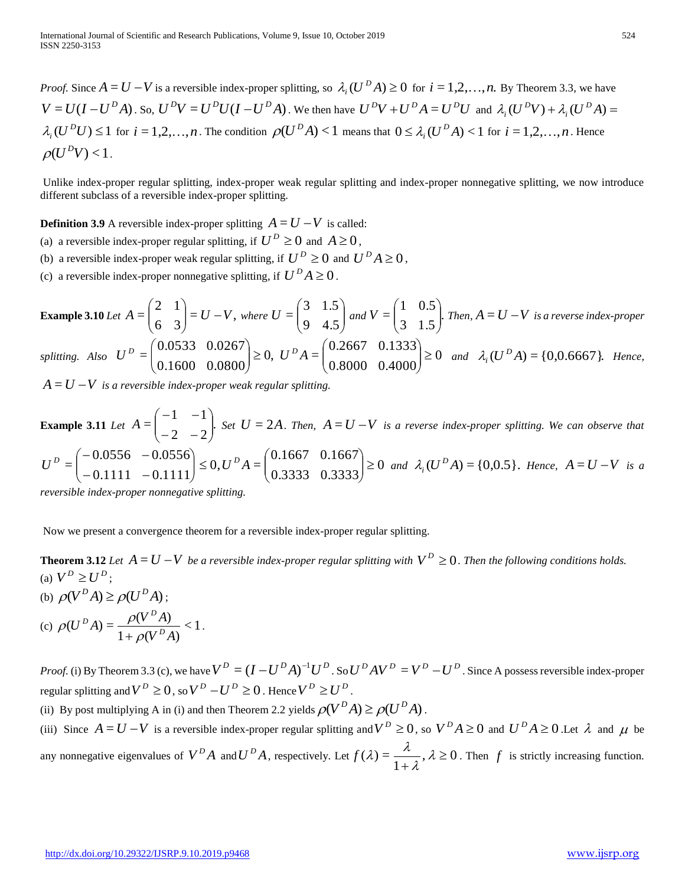*Proof.* Since  $A = U - V$  is a reversible index-proper splitting, so  $\lambda_i(U^D A) \ge 0$  for  $i = 1, 2, ..., n$ . By Theorem 3.3, we have  $V = U(I - U^D A)$ . So,  $U^D V = U^D U(I - U^D A)$ . We then have  $U^D V + U^D A = U^D U$  and  $\lambda_i (U^D V) + \lambda_i (U^D A) =$ *i*  $\lambda_i(U^DV) + \lambda_i$  $\lambda_i(U^{\mathcal{D}}U) \leq 1$  for  $i = 1, 2, ..., n$ . The condition  $\rho(U^{\mathcal{D}}A) < 1$  means that  $0 \leq \lambda_i(U^{\mathcal{D}}A) < 1$  for  $i = 1, 2, ..., n$ . Hence  $\rho(U^{\,D}V)$  < 1.

Unlike index-proper regular splitting, index-proper weak regular splitting and index-proper nonnegative splitting, we now introduce different subclass of a reversible index-proper splitting.

**Definition 3.9** A reversible index-proper splitting  $A = U - V$  is called:

- (a) a reversible index-proper regular splitting, if  $U^D \ge 0$  and  $A \ge 0$ ,
- (b) a reversible index-proper weak regular splitting, if  $U^D \ge 0$  and  $U^D A \ge 0$ ,
- (c) a reversible index-proper nonnegative splitting, if  $U^D A \geq 0$ .

**Example 3.10** Let  $A = \begin{bmatrix} 2 & 1 \\ 1 & 2 \end{bmatrix} = U - V$ , 6 3 2 1  $A = \begin{pmatrix} 2 & 1 \\ 6 & 3 \end{pmatrix} = U - V$ J  $\backslash$  $\overline{\phantom{a}}$  $\setminus$  $\begin{pmatrix} 2 & 1 \\ 6 & 3 \end{pmatrix}$  = U – V, where U =  $\begin{pmatrix} 3 & 1.5 \\ 9 & 4.5 \end{pmatrix}$ J  $\setminus$  $\overline{\phantom{a}}$  $\setminus$ ſ 9 4.5 3 1.5  $U = \begin{bmatrix} 0 & 1 & 0 \\ 0 & 1 & 0 \end{bmatrix}$  and  $V = \begin{bmatrix} 1 & 0 & 0 \\ 0 & 1 & 0 \end{bmatrix}$ . 3 1.5 1 0.5  $=\left[\begin{array}{rr} 1 & 0.0 \\ 2 & 1.5 \end{array}\right]$ J  $\backslash$  $\overline{\phantom{a}}$  $\setminus$ ſ  $V = \begin{bmatrix} 1 & 0.06 \\ 0 & 1.4 \end{bmatrix}$ . Then,  $A = U - V$  is a reverse index-proper *splitting. Also*  $U^D = \begin{vmatrix} 0.6660 & 0.0000 \\ 0.6600 & 0.0000 \end{vmatrix} \ge 0$ , 0.1600 0.0800 0.0533 0.0267  $=\begin{bmatrix} 0.0555 & 0.0207 \\ 0.1600 & 0.0800 \end{bmatrix}$ J  $\setminus$  $\overline{\phantom{a}}$  $\setminus$  $D \cap$  $U^{D} = \begin{vmatrix} \cos 2\theta & \cos 2\theta \\ 0 & \cos 2\theta \end{vmatrix} \ge 0, U^{D} A = \begin{vmatrix} \cos 2\theta & \cos 2\theta \\ 0 & \cos 2\theta & \cos 2\theta \end{vmatrix} \ge 0$ 0.8000 0.4000 0.2667 0.1333  $=\begin{bmatrix} 0.2007 & 0.1555 \\ 0.8000 & 0.4000 \end{bmatrix}$ J  $\backslash$  $\overline{\phantom{a}}$  $\setminus$ ſ  $U^D A = \begin{bmatrix} 0.2007 & 0.1555 \\ 0.8000 & 0.4000 \end{bmatrix} \ge 0$  and  $\lambda_i(U^D A) = \{0, 0.6667\}$ . Hence,

 $A = U - V$  is a reversible index-proper weak regular splitting.

**Example 3.11** Let  $A = \begin{bmatrix} 1 & 1 \\ 1 & 1 \end{bmatrix}$ . 2  $-2$  $1 - 1$  $=\begin{vmatrix} 1 & 1 \\ -2 & -2 \end{vmatrix}$  $\bigg)$  $\setminus$  $\overline{\phantom{a}}$  $\setminus$ ſ  $-2 -1 A = \begin{bmatrix} 1 & 1 \end{bmatrix}$ . Set  $U = 2A$ . Then,  $A = U - V$  is a reverse index-proper splitting. We can observe that 0 0.3333 0.3333 0.1667 0.1667  $0, U^D A =$  $0.1111 - 0.1111$  $0.0556 - 0.0556$  $=\begin{vmatrix} 0.03330 & 0.0330 \\ -0.1111 & -0.1111 \end{vmatrix} \le 0, U^D A = \begin{vmatrix} 0.1333 & 0.3333 \\ 0.3333 & 0.3333 \end{vmatrix} \ge$  $\bigg)$  $\backslash$  $\overline{\phantom{a}}$  $\setminus$  $\Big|\leq 0, U^D A=\Big|$ J  $\backslash$  $\overline{\phantom{a}}$  $\setminus$ ſ  $-0.1111 -0.0556 U^D = \begin{bmatrix} 0.03330 & 0.0330 \\ 0.1111 & 0.1111 \end{bmatrix} \le 0, U^D A = \begin{bmatrix} 0.1007 & 0.1007 \\ 0.2222 & 0.2222 \end{bmatrix} \ge 0$  and  $\lambda_i(U^D A) = \{0.0.5\}$ . Hence,  $A = U - V$  is a

*reversible index-proper nonnegative splitting.* 

Now we present a convergence theorem for a reversible index-proper regular splitting.

**Theorem 3.12** *Let*  $A = U - V$  *be a reversible index-proper regular splitting with*  $V^D \geq 0$ . *Then the following conditions holds.* (a)  $V^D \geq U^D$ ;

(b)  $\rho(V^D A) \ge \rho(U^D A)$ ;

(c) 
$$
\rho(U^D A) = \frac{\rho(V^D A)}{1 + \rho(V^D A)} < 1.
$$

*Proof.* (i) By Theorem 3.3 (c), we have  $V^D = (I - U^D A)^{-1} U^D$ . So  $U^D A V^D = V^D - U^D$ . Since A possess reversible index-proper regular splitting and  $V^D \ge 0$ , so  $V^D - U^D \ge 0$ . Hence  $V^D \ge U^D$ .

(ii) By post multiplying A in (i) and then Theorem 2.2 yields  $\rho(V^D A) \ge \rho(U^D A)$ .

(iii) Since  $A = U - V$  is a reversible index-proper regular splitting and  $V^D \ge 0$ , so  $V^D A \ge 0$  and  $U^D A \ge 0$ . Let  $\lambda$  and  $\mu$  be any nonnegative eigenvalues of  $V^D A$  and  $U^D A$ , respectively. Let  $f(\lambda) = \frac{\lambda}{\lambda}$ ,  $\lambda \ge 0$ 1  $(\lambda) = \frac{\lambda}{\lambda}, \lambda \geq$  $\frac{\lambda}{\lambda}$ ,  $\lambda$ λ  $f(\lambda) = \frac{\lambda}{\lambda}$ ,  $\lambda \ge 0$ . Then f is strictly increasing function.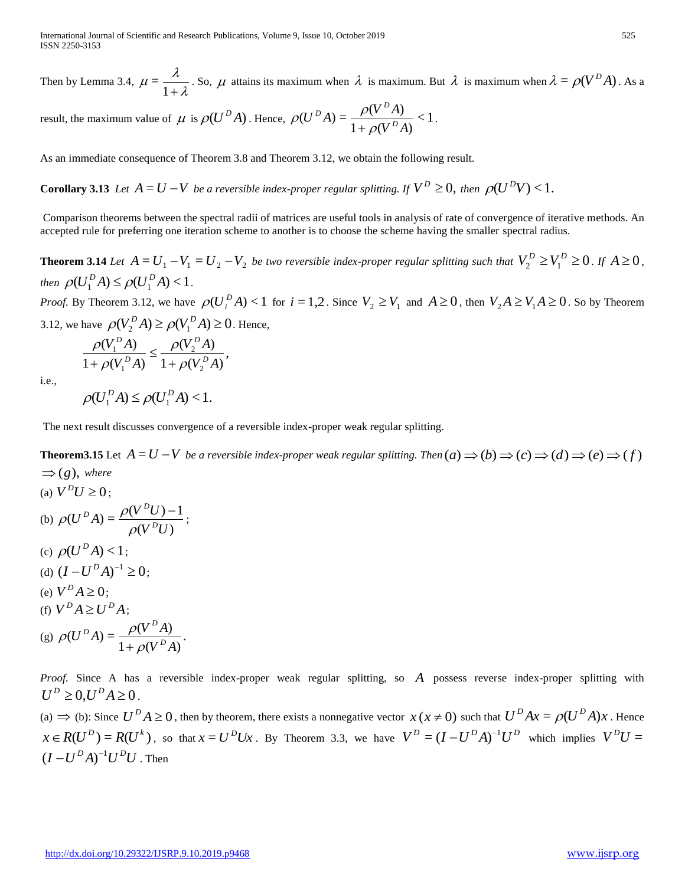Then by Lemma 3.4,  $\mu = \frac{1}{1 + \lambda}$ λ  $\mu = \frac{1}{1 + \mu}$  $=\frac{\lambda}{\lambda}$ . So,  $\mu$  attains its maximum when  $\lambda$  is maximum. But  $\lambda$  is maximum when  $\lambda = \rho(V^D A)$ . As a

result, the maximum value of  $\mu$  is  $\rho(U^D A)$ . Hence,  $\rho(U^D A) = \frac{\rho(V^A A)}{2\pi\sigma^2} < 1$  $1 + \rho (V^D A)$  $(U^{D} A) = \frac{\rho(V^{D} A)}{1 - \rho(A)}$  $V^{\,D}A$  $U^{D}A$  =  $\frac{\rho(V^{D}A)}{1+\rho(V^{D}A)}$  $D_A$   $D_A$   $D$  $\rho$  $\rho(U^D A) = \frac{\rho(V^- A)}{1 + \rho(V^D A)} < 1.$ 

As an immediate consequence of Theorem 3.8 and Theorem 3.12, we obtain the following result.

**Corollary 3.13** Let  $A = U - V$  be a reversible index-proper regular splitting. If  $V^D \geq 0$ , then  $\rho(U^D V) < 1$ .

Comparison theorems between the spectral radii of matrices are useful tools in analysis of rate of convergence of iterative methods. An accepted rule for preferring one iteration scheme to another is to choose the scheme having the smaller spectral radius.

**Theorem 3.14** Let  $A = U_1 - V_1 = U_2 - V_2$  be two reversible index-proper regular splitting such that  $V_2^D \ge V_1^D \ge 0$ . If  $A \ge 0$ , *then*  $\rho(U_1^D A) \leq \rho(U_1^D A) < 1$ .

*Proof.* By Theorem 3.12, we have  $\rho(U_i^D A) < 1$  for  $i = 1,2$ . Since  $V_2 \geq V_1$  and  $A \geq 0$ , then  $V_2 A \geq V_1 A \geq 0$ . So by Theorem 3.12, we have  $\rho(V_2^D A) \ge \rho(V_1^D A) \ge 0$ . Hence,

$$
\frac{\rho(V_1^D A)}{1 + \rho(V_1^D A)} \le \frac{\rho(V_2^D A)}{1 + \rho(V_2^D A)},
$$

i.e.,

$$
\rho(U_1^D A) \leq \rho(U_1^D A) < 1.
$$

The next result discusses convergence of a reversible index-proper weak regular splitting.

**Theorem3.15** Let  $A = U - V$  be a reversible index-proper weak regular splitting. Then  $(a) \Rightarrow (b) \Rightarrow (c) \Rightarrow (d) \Rightarrow (e) \Rightarrow (f)$  $\Rightarrow$  (*g*), where

(a)  $V^{D}U \geq 0$ ; (b)  $\rho(U^{\nu}A) = \frac{P(V^{\nu})}{\rho(V^{\nu}U)}$  $(U^{D} A) = \frac{\rho(V^{D} U) - 1}{\sigma V^{D} V}$  $V^{\hskip1pt D}U$  $(U^D A) = \frac{\rho(V^D U)}{\rho(V^D)}$  $D_{A}$ <sup>D</sup>  $\sim$   $\rho(V^D)$  $\rho$  $\rho(U^{\scriptscriptstyle D}A)=\frac{\rho(V^{\scriptscriptstyle D}U)-1}{\sigma I^{\scriptscriptstyle D}U};$ (c)  $\rho(U^D A) < 1$ ; (d)  $(I - U^D A)^{-1} \geq 0$ ; (e)  $V^D A \ge 0$ ; (f)  $V^D A \ge U^D A$ ; (g)  $\rho(U^D A) = \frac{\rho(V - A)}{(1 - \sigma)^2}$ .  $1 + \rho (V^D A)$  $(U^{\,D}A) = \frac{\rho(V^{\,D}A)}{I}$  $V^{\,D}A$  $(U^{D}A) = \frac{\rho(V^{D}A)}{1 + \rho(V^{D}A)}$  $D_A$   $D_A$   $D$  $\rho$  $\rho(U^{\scriptscriptstyle D}A)=\frac{\rho}{1+1}$ 

*Proof.* Since A has a reversible index-proper weak regular splitting, so *A* possess reverse index-proper splitting with  $U^{D} \geq 0, U^{D} A \geq 0$ .

(a)  $\Rightarrow$  (b): Since  $U^D A \ge 0$ , then by theorem, there exists a nonnegative vector  $x(x \ne 0)$  such that  $U^D Ax = \rho (U^D A)x$ . Hence  $x \in R(U^D) = R(U^k)$ , so that  $x = U^D U x$ . By Theorem 3.3, we have  $V^D = (I - U^D A)^{-1} U^D$  which implies  $V^D U =$  $(I-U^D A)^{-1}U^D U$ . Then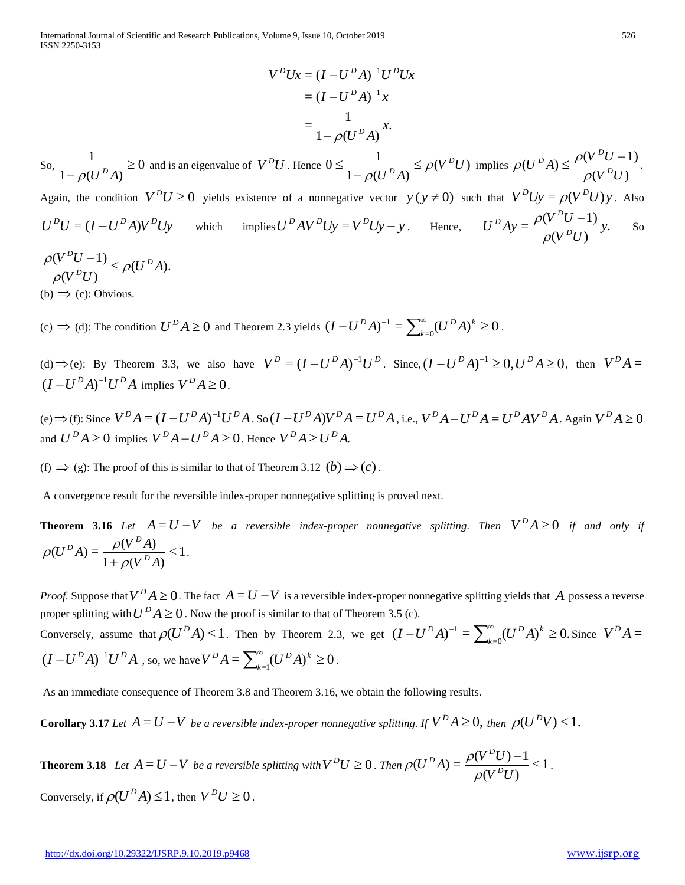International Journal of Scientific and Research Publications, Volume 9, Issue 10, October 2019 526 ISSN 2250-3153

$$
V^{D}Ux = (I - U^{D}A)^{-1}U^{D}Ux
$$

$$
= (I - U^{D}A)^{-1}x
$$

$$
= \frac{1}{1 - \rho(U^{D}A)}x.
$$

So,  $\frac{1}{\sqrt{1-\frac{1}{(1-\rho)^2}}} \ge 0$  $1 - \rho ( U^D A )$  $\frac{1}{\sqrt{1-\frac{1}{2}}} \ge$  $-\rho(U^{\,D}A)$ and is an eigenvalue of  $V^{D}U$ . Hence  $0 \leq \frac{1}{1 - \sigma \epsilon R} \leq \rho(V^{D}U)$  $1 - \rho ( U^D A )$  $0 \leq \frac{1}{\sqrt{U}} \leq \rho(V^D U)$  $U^{\,D} A$ *D*  $\overline{D_{\Lambda}} \leq \rho$  $\rho$  $\leq$ - $\leq$   $\frac{1}{\sqrt{1-\mu} \leq \rho(V^DU)}$  implies  $\rho(U^DA) \leq \frac{\rho(V^U \cup V^U)}{\sqrt{1-\mu} \leq \rho(V^U \cup V^U)}$ .  $(V^{\,D}U)$  $(U^{D} A) \leq \frac{\rho(V^{D} U - 1)}{n R D}$  $V^{\hskip1pt D}U$  $(U^D A) \leq \frac{\rho(V^D U)}{\rho(V^D)}$  $D_{A}$   $\geq \rho(V^D)$  $\rho$  $\rho(U^{\,D}A) \leq \frac{\rho(V^{\,D}U -$ 

Again, the condition  $V^{D}U \ge 0$  yields existence of a nonnegative vector  $y(y \ne 0)$  such that  $V^{D}Uy = \rho(V^{D}U)y$ . Also  $U^D U = (I - U^D A) V^D U y$ which implies  $U^D A V^D U y = V^D U y - y$ . Hence,  $U^D A y = \frac{\rho (V^D U - 1)}{\rho^2} y$ .  $(V^{\,D}U)$  $=\frac{\rho(V^{\circ}U-1)}{nR^{\circ}V}y$  $V^{\hskip1pt D}U$  $U^D A y = \frac{\rho(V^D U)}{\rho(V^D)}$  $D_{A_{21}} = \rho(V^D)$  $\rho$  $\frac{\rho(V^DU-1)}{D}$  y. So

 $(U^{\,D}A).$  $(V^{\,D}U)$  $\frac{(V^D U - 1)}{(V^D A)} \leq \rho (U^D A)$  $V^{\hskip1pt D}U$  $(V^{D}U-1)$   $\leq$   $\alpha U^{D}$ *D D*  $\rho$  $\rho$  $\frac{\rho(V^DU-1)}{nR^2} \leq$ 

(b)  $\Rightarrow$  (c): Obvious.

(c)  $\Rightarrow$  (d): The condition  $U^D A \ge 0$  and Theorem 2.3 yields  $(I - U^D A)^{-1} = \sum_{k=0}^{\infty} (U^D A)^k \ge 0$  $-U^D A$ <sup>-1</sup> =  $\sum_{k=0}^{\infty} (U^D A)^k \ge$ *k*  $I-U^{D}A)^{-1} = \sum_{k=0}^{\infty} (U^{D}A)^{k} \geq 0$ .

(d)  $\Rightarrow$  (e): By Theorem 3.3, we also have  $V^D = (I - U^D A)^{-1} U^D$ . Since,  $(I - U^D A)^{-1} \ge 0$ ,  $U^D A \ge 0$ , then  $V^D A =$  $(I-U^D A)^{-1}U^D A$  implies  $V^D A \geq 0$ .

(e)  $\Rightarrow$  (f): Since  $V^D A = (I - U^D A)^{-1} U^D A$ . So  $(I - U^D A)V^D A = U^D A$ , i.e.,  $V^D A - U^D A = U^D A V^D A$ . Again  $V^D A \ge 0$ and  $U^D A \ge 0$  implies  $V^D A - U^D A \ge 0$ . Hence  $V^D A \ge U^D A$ .

(f)  $\Rightarrow$  (g): The proof of this is similar to that of Theorem 3.12 (b)  $\Rightarrow$  (c).

A convergence result for the reversible index-proper nonnegative splitting is proved next.

**Theorem 3.16** Let  $A = U - V$  be a reversible index-proper nonnegative splitting. Then  $V^D A \ge 0$  if and only if  $\leq$  1  $1 + \rho (V^D A)$  $(U^{\,D}A) = \frac{\rho(V^{\,D}A)}{U^{\,D}B}$  $V^{\,D}A$  $(U^{D}A) = \frac{\rho(V^{D}A)}{1 + \rho(V^{D}A)}$  $D_A$   $D_A$   $D$  $\rho$  $\rho(U^D A) = \frac{\rho(V^T A)}{1 + \rho(V^D A)} < 1.$ 

*Proof.* Suppose that  $V^D A \ge 0$ . The fact  $A = U - V$  is a reversible index-proper nonnegative splitting yields that A possess a reverse proper splitting with  $U^D A \ge 0$ . Now the proof is similar to that of Theorem 3.5 (c). Conversely, assume that  $\rho(U^D A) < 1$ . Then by Theorem 2.3, we get  $(I - U^D A)^{-1} = \sum_{k=0}^{\infty} (U^D A)^k \ge 0$ .  $-U^D A$ <sup>-1</sup> =  $\sum_{k=0}^{\infty} (U^D A)^k \ge$ *k*  $I - U^D A$ <sup>-1</sup> =  $\sum_{k=0}^{\infty} (U^D A)^k \ge 0$ . Since  $V^D A =$  $(I - U^D A)^{-1} U^D A$  , so, we have  $V^D A = \sum_{k=1}^{\infty} (U^D A)^k \ge 0$  $V^{D}A = \sum_{k=1}^{\infty} (U^{D}A)^{k} \geq 0$ .

As an immediate consequence of Theorem 3.8 and Theorem 3.16, we obtain the following results.

**Corollary 3.17** Let  $A = U - V$  be a reversible index-proper nonnegative splitting. If  $V^D A \ge 0$ , then  $\rho(U^D V) < 1$ .

**Theorem 3.18** Let  $A = U - V$  be a reversible splitting with  $V^{D}U \ge 0$ . Then  $\rho(U^{D}A) = \frac{\rho(V^{D}U)^{-1}}{2\sigma P_{\text{max}}} < 1$  $(V^{\,D}U)$  $(U^{D} A) = \frac{\rho(V^{D} U) - 1}{\rho(V^{D} V)}$  $V^{\hskip1pt D}U$  $(U^D A) = \frac{\rho(V^D U)}{\rho(V^D)}$  $D_{A}$ <sup>D</sup>  $\rightarrow$   $\rho(V^D)$  $\rho$  $\rho(U^{\,D}A) = \frac{\rho(V^{\,D}U) - 1}{\sigma V^D} < 1$ . Conversely, if  $\rho(U^D A) \leq 1$ , then  $V^D U \geq 0$ .